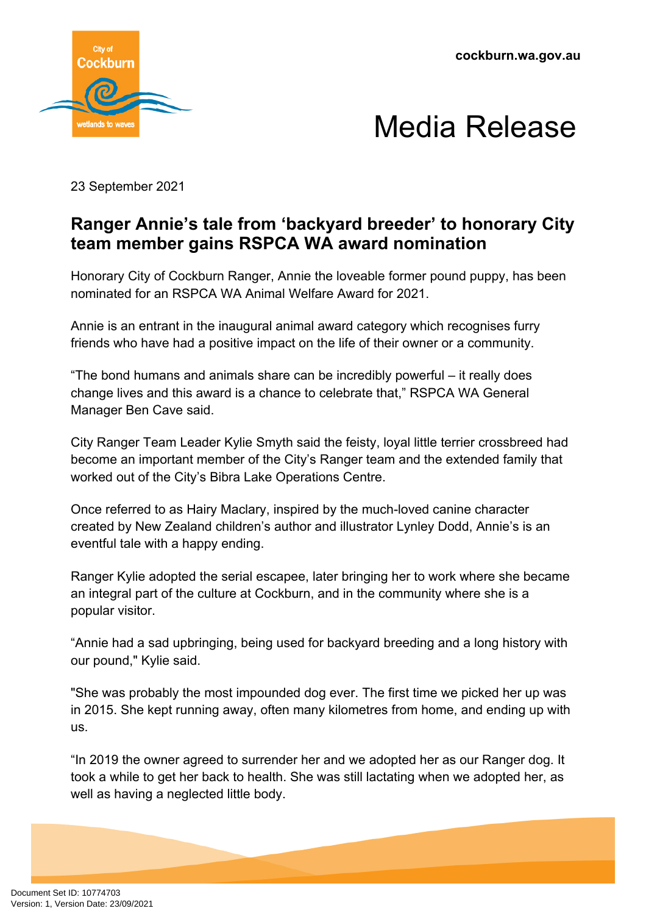



23 September 2021

## **Ranger Annie's tale from 'backyard breeder' to honorary City team member gains RSPCA WA award nomination**

Honorary City of Cockburn Ranger, Annie the loveable former pound puppy, has been nominated for an RSPCA WA Animal Welfare Award for 2021.

Annie is an entrant in the inaugural animal award category which recognises furry friends who have had a positive impact on the life of their owner or a community.

"The bond humans and animals share can be incredibly powerful – it really does change lives and this award is a chance to celebrate that," RSPCA WA General Manager Ben Cave said.

City Ranger Team Leader Kylie Smyth said the feisty, loyal little terrier crossbreed had become an important member of the City's Ranger team and the extended family that worked out of the City's Bibra Lake Operations Centre.

Once referred to as Hairy Maclary, inspired by the much-loved canine character created by New Zealand children's author and illustrator Lynley Dodd, Annie's is an eventful tale with a happy ending.

Ranger Kylie adopted the serial escapee, later bringing her to work where she became an integral part of the culture at Cockburn, and in the community where she is a popular visitor.

"Annie had a sad upbringing, being used for backyard breeding and a long history with our pound," Kylie said.

"She was probably the most impounded dog ever. The first time we picked her up was in 2015. She kept running away, often many kilometres from home, and ending up with us.

"In 2019 the owner agreed to surrender her and we adopted her as our Ranger dog. It took a while to get her back to health. She was still lactating when we adopted her, as well as having a neglected little body.

Document Set ID: 10774703<br>Version: 1, Version Date: 23/09/2021